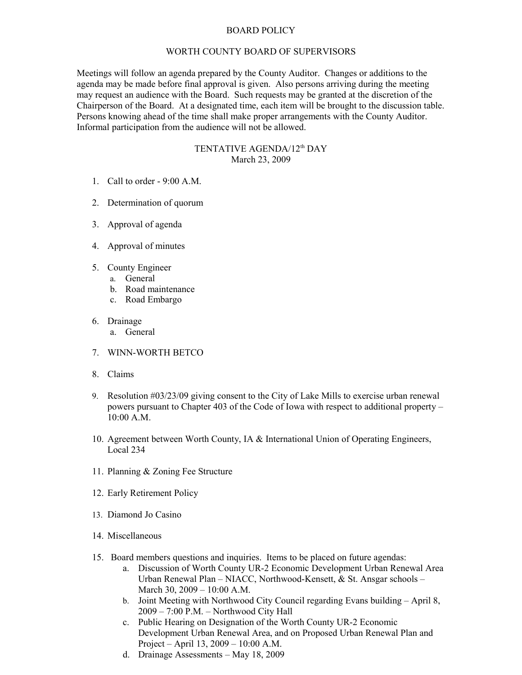## BOARD POLICY

## WORTH COUNTY BOARD OF SUPERVISORS

Meetings will follow an agenda prepared by the County Auditor. Changes or additions to the agenda may be made before final approval is given. Also persons arriving during the meeting may request an audience with the Board. Such requests may be granted at the discretion of the Chairperson of the Board. At a designated time, each item will be brought to the discussion table. Persons knowing ahead of the time shall make proper arrangements with the County Auditor. Informal participation from the audience will not be allowed.

## TENTATIVE AGENDA/12<sup>th</sup> DAY March 23, 2009

- 1. Call to order 9:00 A.M.
- 2. Determination of quorum
- 3. Approval of agenda
- 4. Approval of minutes
- 5. County Engineer
	- a. General
	- b. Road maintenance
	- c. Road Embargo
- 6. Drainage
	- a. General
- 7. WINN-WORTH BETCO
- 8. Claims
- 9. Resolution #03/23/09 giving consent to the City of Lake Mills to exercise urban renewal powers pursuant to Chapter 403 of the Code of Iowa with respect to additional property – 10:00 A.M.
- 10. Agreement between Worth County, IA & International Union of Operating Engineers, Local 234
- 11. Planning & Zoning Fee Structure
- 12. Early Retirement Policy
- 13. Diamond Jo Casino
- 14. Miscellaneous
- 15. Board members questions and inquiries. Items to be placed on future agendas:
	- a. Discussion of Worth County UR-2 Economic Development Urban Renewal Area Urban Renewal Plan – NIACC, Northwood-Kensett, & St. Ansgar schools – March 30, 2009 – 10:00 A.M.
	- b. Joint Meeting with Northwood City Council regarding Evans building April 8, 2009 – 7:00 P.M. – Northwood City Hall
	- c. Public Hearing on Designation of the Worth County UR-2 Economic Development Urban Renewal Area, and on Proposed Urban Renewal Plan and Project – April 13, 2009 – 10:00 A.M.
	- d. Drainage Assessments May 18, 2009